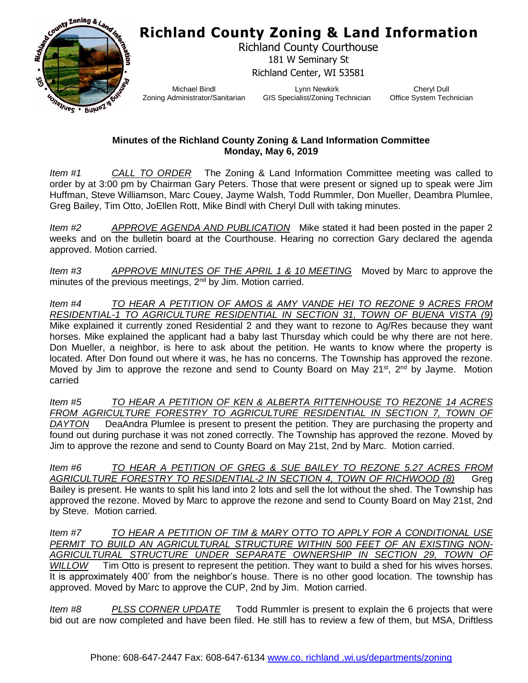## **Richland County Zoning & Land Information**



Richland County Courthouse 181 W Seminary St Richland Center, WI 53581

Michael Bindl Zoning Administrator/Sanitarian

Lynn Newkirk GIS Specialist/Zoning Technician

Cheryl Dull Office System Technician

## **Minutes of the Richland County Zoning & Land Information Committee Monday, May 6, 2019**

*Item #1 CALL TO ORDER* The Zoning & Land Information Committee meeting was called to order by at 3:00 pm by Chairman Gary Peters. Those that were present or signed up to speak were Jim Huffman, Steve Williamson, Marc Couey, Jayme Walsh, Todd Rummler, Don Mueller, Deambra Plumlee, Greg Bailey, Tim Otto, JoEllen Rott, Mike Bindl with Cheryl Dull with taking minutes.

*Item #2 APPROVE AGENDA AND PUBLICATION* Mike stated it had been posted in the paper 2 weeks and on the bulletin board at the Courthouse. Hearing no correction Gary declared the agenda approved. Motion carried.

*Item #3 APPROVE MINUTES OF THE APRIL 1 & 10 MEETING* Moved by Marc to approve the minutes of the previous meetings, 2<sup>nd</sup> by Jim. Motion carried.

*Item #4 TO HEAR A PETITION OF AMOS & AMY VANDE HEI TO REZONE 9 ACRES FROM RESIDENTIAL-1 TO AGRICULTURE RESIDENTIAL IN SECTION 31, TOWN OF BUENA VISTA (9)* Mike explained it currently zoned Residential 2 and they want to rezone to Ag/Res because they want horses. Mike explained the applicant had a baby last Thursday which could be why there are not here. Don Mueller, a neighbor, is here to ask about the petition. He wants to know where the property is located. After Don found out where it was, he has no concerns. The Township has approved the rezone. Moved by Jim to approve the rezone and send to County Board on May 21<sup>st</sup>, 2<sup>nd</sup> by Jayme. Motion carried

*Item #5 TO HEAR A PETITION OF KEN & ALBERTA RITTENHOUSE TO REZONE 14 ACRES FROM AGRICULTURE FORESTRY TO AGRICULTURE RESIDENTIAL IN SECTION 7, TOWN OF DAYTON* DeaAndra Plumlee is present to present the petition. They are purchasing the property and found out during purchase it was not zoned correctly. The Township has approved the rezone. Moved by Jim to approve the rezone and send to County Board on May 21st, 2nd by Marc. Motion carried.

*Item #6 TO HEAR A PETITION OF GREG & SUE BAILEY TO REZONE 5.27 ACRES FROM AGRICULTURE FORESTRY TO RESIDENTIAL-2 IN SECTION 4, TOWN OF RICHWOOD (8)* Greg Bailey is present. He wants to split his land into 2 lots and sell the lot without the shed. The Township has approved the rezone. Moved by Marc to approve the rezone and send to County Board on May 21st, 2nd by Steve. Motion carried.

*Item #7 TO HEAR A PETITION OF TIM & MARY OTTO TO APPLY FOR A CONDITIONAL USE PERMIT TO BUILD AN AGRICULTURAL STRUCTURE WITHIN 500 FEET OF AN EXISTING NON-AGRICULTURAL STRUCTURE UNDER SEPARATE OWNERSHIP IN SECTION 29, TOWN OF WILLOW* Tim Otto is present to represent the petition. They want to build a shed for his wives horses. It is approximately 400' from the neighbor's house. There is no other good location. The township has approved. Moved by Marc to approve the CUP, 2nd by Jim. Motion carried.

*Item #8 PLSS CORNER UPDATE* Todd Rummler is present to explain the 6 projects that were bid out are now completed and have been filed. He still has to review a few of them, but MSA, Driftless